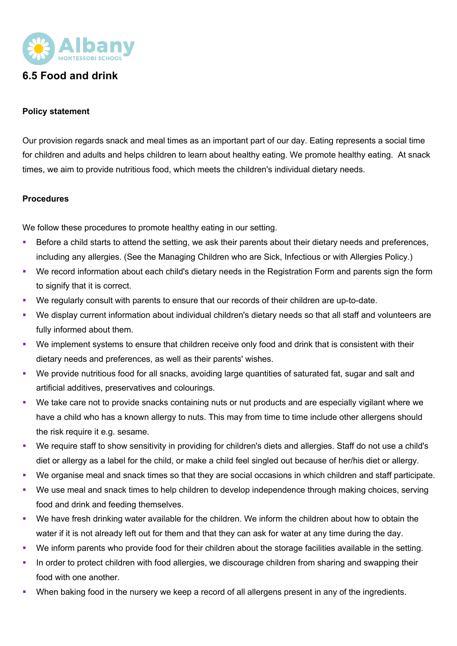

## **6.5 Food and drink**

## **Policy statement**

Our provision regards snack and meal times as an important part of our day. Eating represents a social time for children and adults and helps children to learn about healthy eating. We promote healthy eating. At snack times, we aim to provide nutritious food, which meets the children's individual dietary needs.

## **Procedures**

We follow these procedures to promote healthy eating in our setting.

- Before a child starts to attend the setting, we ask their parents about their dietary needs and preferences, including any allergies. (See the Managing Children who are Sick, Infectious or with Allergies Policy.)
- § We record information about each child's dietary needs in the Registration Form and parents sign the form to signify that it is correct.
- We regularly consult with parents to ensure that our records of their children are up-to-date.
- We display current information about individual children's dietary needs so that all staff and volunteers are fully informed about them.
- We implement systems to ensure that children receive only food and drink that is consistent with their dietary needs and preferences, as well as their parents' wishes.
- We provide nutritious food for all snacks, avoiding large quantities of saturated fat, sugar and salt and artificial additives, preservatives and colourings.
- § We take care not to provide snacks containing nuts or nut products and are especially vigilant where we have a child who has a known allergy to nuts. This may from time to time include other allergens should the risk require it e.g. sesame.
- § We require staff to show sensitivity in providing for children's diets and allergies. Staff do not use a child's diet or allergy as a label for the child, or make a child feel singled out because of her/his diet or allergy.
- We organise meal and snack times so that they are social occasions in which children and staff participate.
- § We use meal and snack times to help children to develop independence through making choices, serving food and drink and feeding themselves.
- We have fresh drinking water available for the children. We inform the children about how to obtain the water if it is not already left out for them and that they can ask for water at any time during the day.
- We inform parents who provide food for their children about the storage facilities available in the setting.
- In order to protect children with food allergies, we discourage children from sharing and swapping their food with one another.
- When baking food in the nursery we keep a record of all allergens present in any of the ingredients.